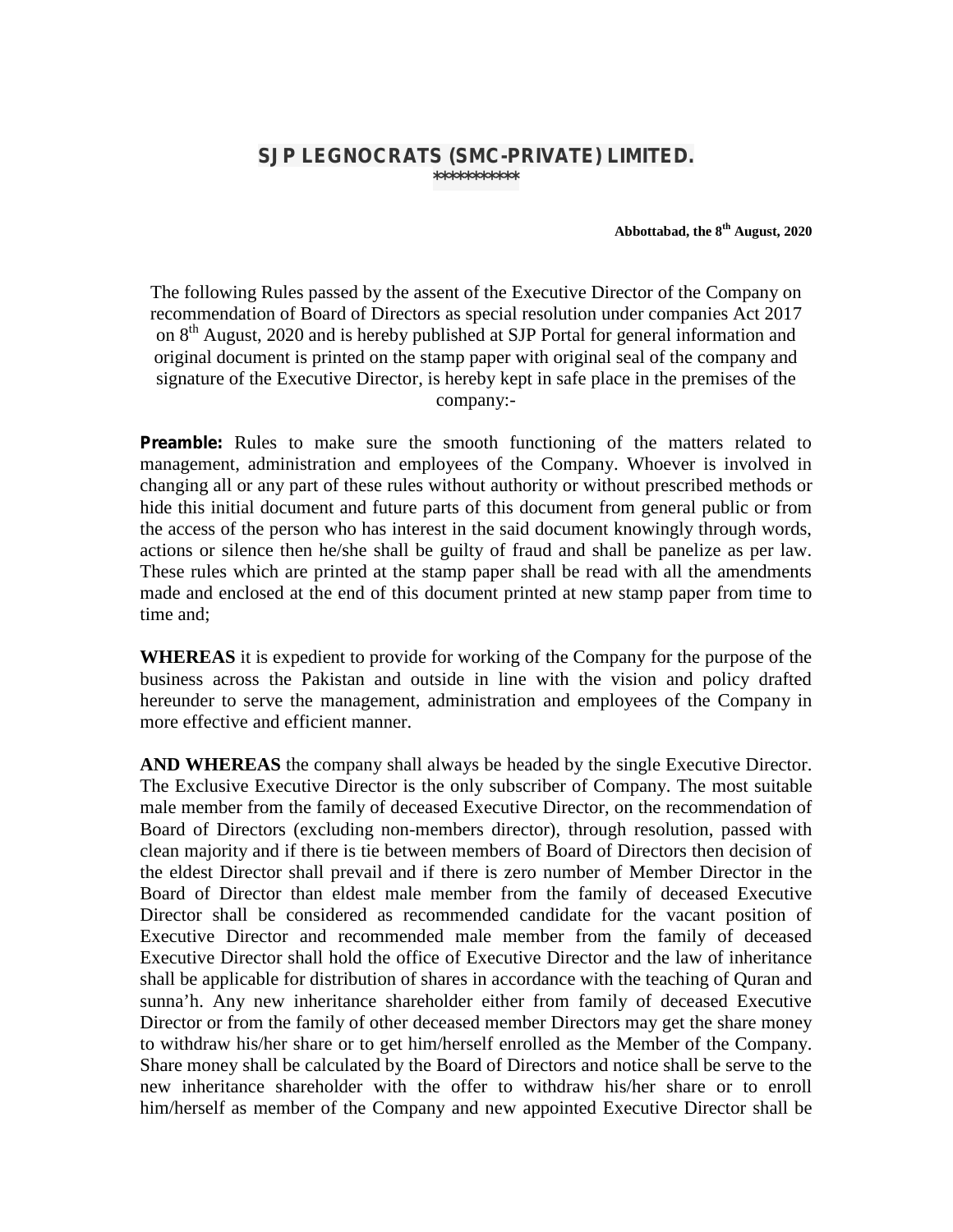## **SJP LEGNOCRATS (SMC-PRIVATE) LIMITED. \*\*\*\*\*\*\*\*\*\*\***

**Abbottabad, the 8 th August, 2020**

The following Rules passed by the assent of the Executive Director of the Company on recommendation of Board of Directors as special resolution under companies Act 2017 on 8<sup>th</sup> August, 2020 and is hereby published at SJP Portal for general information and original document is printed on the stamp paper with original seal of the company and signature of the Executive Director, is hereby kept in safe place in the premises of the company:-

**Preamble:** Rules to make sure the smooth functioning of the matters related to management, administration and employees of the Company. Whoever is involved in changing all or any part of these rules without authority or without prescribed methods or hide this initial document and future parts of this document from general public or from the access of the person who has interest in the said document knowingly through words, actions or silence then he/she shall be guilty of fraud and shall be panelize as per law. These rules which are printed at the stamp paper shall be read with all the amendments made and enclosed at the end of this document printed at new stamp paper from time to time and;

**WHEREAS** it is expedient to provide for working of the Company for the purpose of the business across the Pakistan and outside in line with the vision and policy drafted hereunder to serve the management, administration and employees of the Company in more effective and efficient manner.

**AND WHEREAS** the company shall always be headed by the single Executive Director. The Exclusive Executive Director is the only subscriber of Company. The most suitable male member from the family of deceased Executive Director, on the recommendation of Board of Directors (excluding non-members director), through resolution, passed with clean majority and if there is tie between members of Board of Directors then decision of the eldest Director shall prevail and if there is zero number of Member Director in the Board of Director than eldest male member from the family of deceased Executive Director shall be considered as recommended candidate for the vacant position of Executive Director and recommended male member from the family of deceased Executive Director shall hold the office of Executive Director and the law of inheritance shall be applicable for distribution of shares in accordance with the teaching of Quran and sunna'h. Any new inheritance shareholder either from family of deceased Executive Director or from the family of other deceased member Directors may get the share money to withdraw his/her share or to get him/herself enrolled as the Member of the Company. Share money shall be calculated by the Board of Directors and notice shall be serve to the new inheritance shareholder with the offer to withdraw his/her share or to enroll him/herself as member of the Company and new appointed Executive Director shall be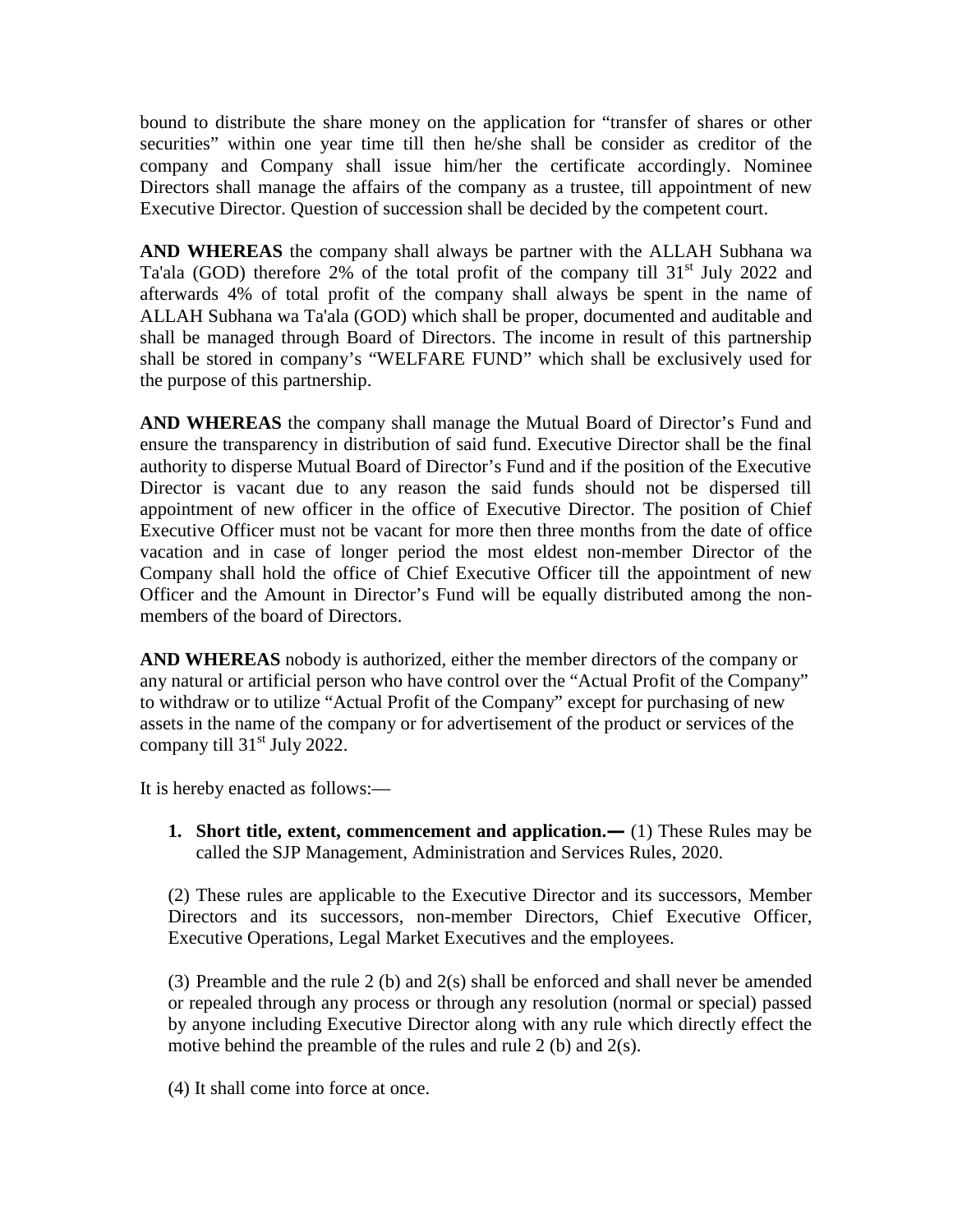bound to distribute the share money on the application for "transfer of shares or other securities" within one year time till then he/she shall be consider as creditor of the company and Company shall issue him/her the certificate accordingly. Nominee Directors shall manage the affairs of the company as a trustee, till appointment of new Executive Director. Question of succession shall be decided by the competent court.

**AND WHEREAS** the company shall always be partner with the ALLAH Subhana wa Ta'ala (GOD) therefore 2% of the total profit of the company till  $31<sup>st</sup>$  July 2022 and afterwards 4% of total profit of the company shall always be spent in the name of ALLAH Subhana wa Ta'ala (GOD) which shall be proper, documented and auditable and shall be managed through Board of Directors. The income in result of this partnership shall be stored in company's "WELFARE FUND" which shall be exclusively used for the purpose of this partnership.

**AND WHEREAS** the company shall manage the Mutual Board of Director's Fund and ensure the transparency in distribution of said fund. Executive Director shall be the final authority to disperse Mutual Board of Director's Fund and if the position of the Executive Director is vacant due to any reason the said funds should not be dispersed till appointment of new officer in the office of Executive Director. The position of Chief Executive Officer must not be vacant for more then three months from the date of office vacation and in case of longer period the most eldest non-member Director of the Company shall hold the office of Chief Executive Officer till the appointment of new Officer and the Amount in Director's Fund will be equally distributed among the non members of the board of Directors.

**AND WHEREAS** nobody is authorized, either the member directors of the company or any natural or artificial person who have control over the "Actual Profit of the Company" to withdraw or to utilize "Actual Profit of the Company" except for purchasing of new assets in the name of the company or for advertisement of the product or services of the company till  $31<sup>st</sup>$  July 2022.

It is hereby enacted as follows:—

**1. Short title, extent, commencement and application.—** (1) These Rules may be called the SJP Management, Administration and Services Rules, 2020.

(2) These rules are applicable to the Executive Director and its successors, Member Directors and its successors, non-member Directors, Chief Executive Officer, Executive Operations, Legal Market Executives and the employees.

(3) Preamble and the rule 2 (b) and 2(s) shall be enforced and shall never be amended or repealed through any process or through any resolution (normal or special) passed by anyone including Executive Director along with any rule which directly effect the motive behind the preamble of the rules and rule 2 (b) and 2(s).

(4) It shall come into force at once.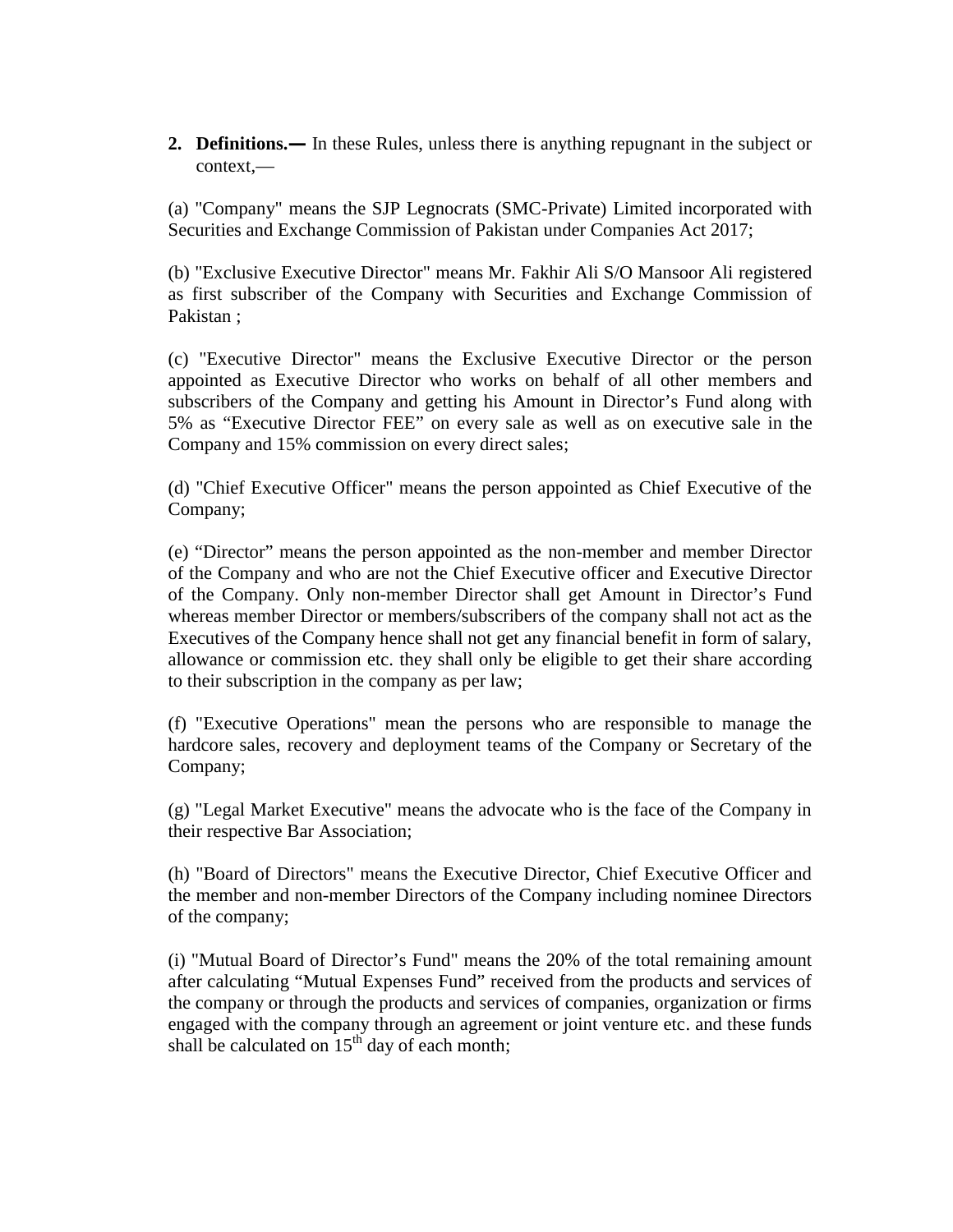**2. Definitions.—** In these Rules, unless there is anything repugnant in the subject or context,—

(a) "Company" means the SJP Legnocrats (SMC-Private) Limited incorporated with Securities and Exchange Commission of Pakistan under Companies Act 2017

(b) "Exclusive Executive Director" means Mr. Fakhir Ali S/O Mansoor Ali registered as first subscriber of the Company with Securities and Exchange Commission of Pakistan

(c) "Executive Director" means the Exclusive Executive Director or the person appointed as Executive Director who works on behalf of all other members and subscribers of the Company and getting his Amount in Director's Fund along with 5% as "Executive Director FEE" on every sale as well as on executive sale in the Company and 15% commission on every direct sales

(d) "Chief Executive Officer" means the person appointed as Chief Executive of the Company

(e) "Director" means the person appointed as the non-member and member Director of the Company and who are not the Chief Executive officer and Executive Director of the Company. Only non-member Director shall get Amount in Director's Fund whereas member Director or members/subscribers of the company shall not act as the Executives of the Company hence shall not get any financial benefit in form of salary, allowance or commission etc. they shall only be eligible to get their share according to their subscription in the company as per law;

(f) "Executive Operations" mean the persons who are responsible to manage the hardcore sales, recovery and deployment teams of the Company or Secretary of the Company

(g) "Legal Market Executive" means the advocate who is the face of the Company in their respective Bar Association

(h) "Board of Directors" means the Executive Director, Chief Executive Officer and the member and non-member Directors of the Company including nominee Directors of the company

(i) "Mutual Board of Director's Fund" means the 20% of the total remaining amount after calculating "Mutual Expenses Fund" received from the products and services of the company or through the products and services of companies, organization or firms engaged with the company through an agreement or joint venture etc. and these funds shall be calculated on  $15<sup>th</sup>$  day of each month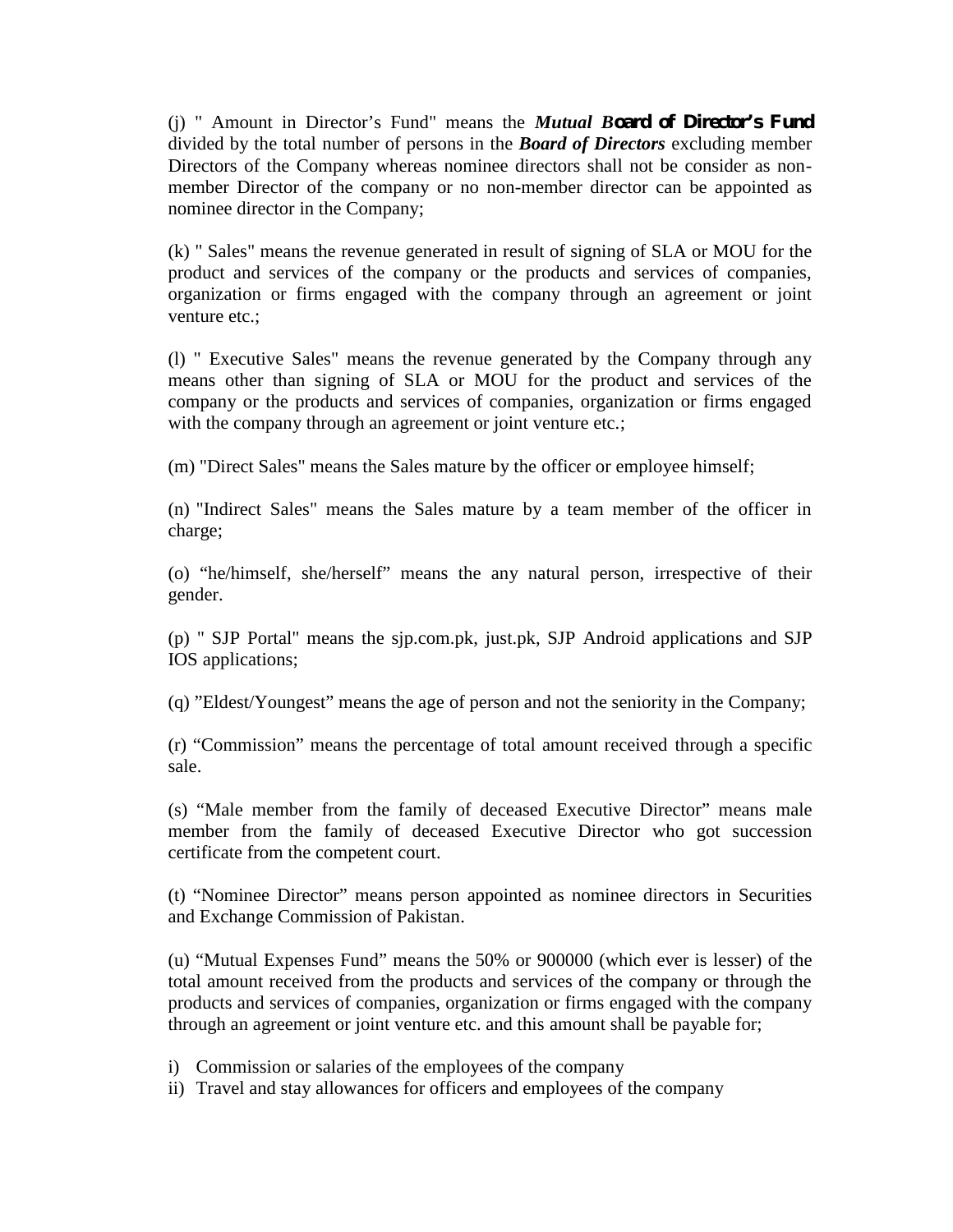(j) " Amount in Director's Fund" means the *Mutual Board of Director's Fund* divided by the total number of persons in the *Board of Directors* excluding member Directors of the Company whereas nominee directors shall not be consider as non member Director of the company or no non-member director can be appointed as nominee director in the Company

(k) " Sales" means the revenue generated in result of signing of SLA or MOU for the product and services of the company or the products and services of companies, organization or firms engaged with the company through an agreement or joint venture etc.

(l) " Executive Sales" means the revenue generated by the Company through any means other than signing of SLA or MOU for the product and services of the company or the products and services of companies, organization or firms engaged with the company through an agreement or joint venture etc.

(m) "Direct Sales" means the Sales mature by the officer or employee himself

(n) "Indirect Sales" means the Sales mature by a team member of the officer in charge

(o) "he/himself, she/herself" means the any natural person, irrespective of their gender.

(p) " SJP Portal" means the sjp.com.pk, just.pk, SJP Android applications and SJP IOS applications

(q) "Eldest/Youngest" means the age of person and not the seniority in the Company;

(r) "Commission" means the percentage of total amount received through a specific sale.

(s) "Male member from the family of deceased Executive Director" means male member from the family of deceased Executive Director who got succession certificate from the competent court.

(t) "Nominee Director" means person appointed as nominee directors in Securities and Exchange Commission of Pakistan.

(u) "Mutual Expenses Fund" means the 50% or 900000 (which ever is lesser) of the total amount received from the products and services of the company or through the products and services of companies, organization or firms engaged with the company through an agreement or joint venture etc. and this amount shall be payable for;

- i) Commission or salaries of the employees of the company
- ii) Travel and stay allowances for officers and employees of the company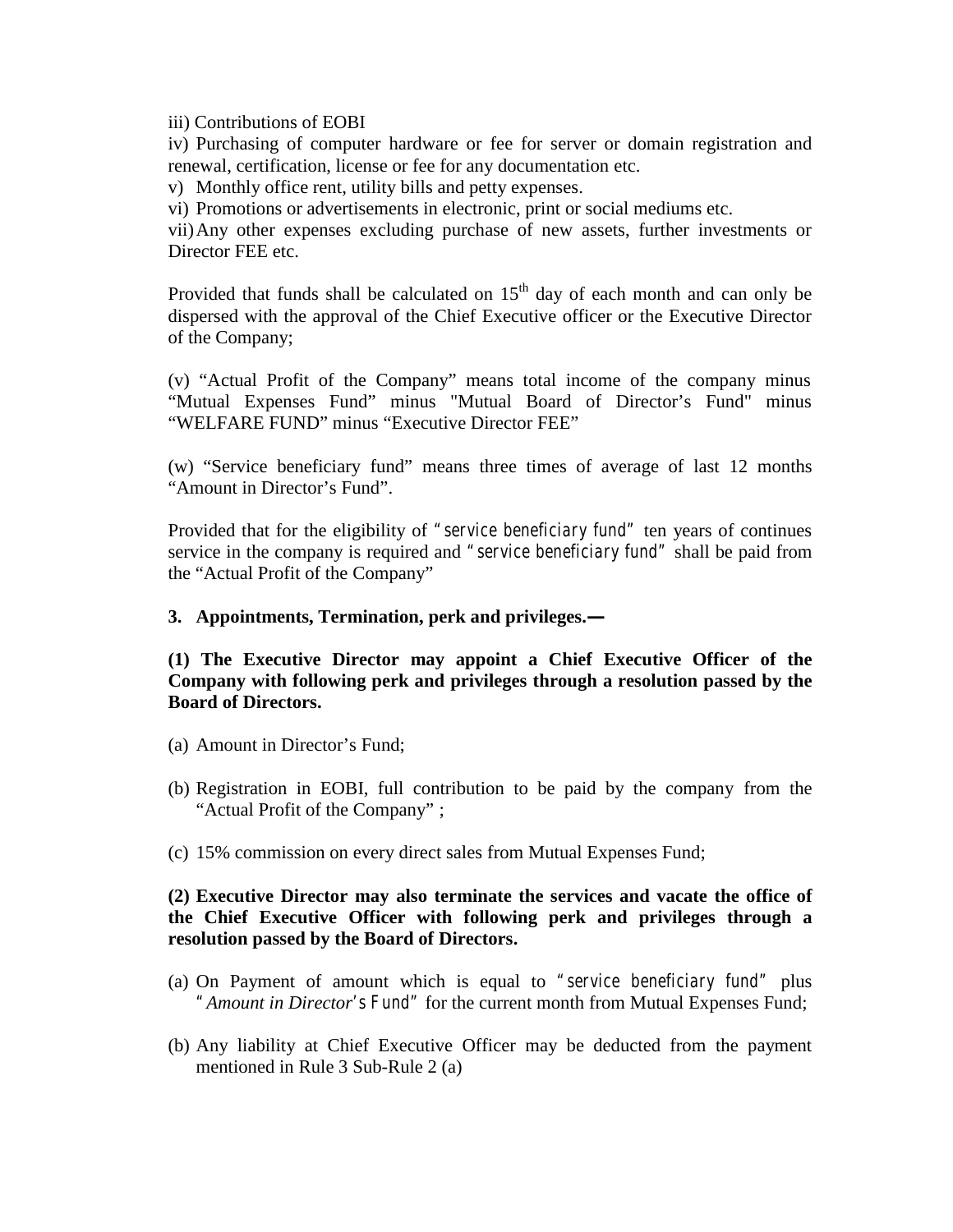iii) Contributions of EOBI

iv) Purchasing of computer hardware or fee for server or domain registration and renewal, certification, license or fee for any documentation etc.

v) Monthly office rent, utility bills and petty expenses.

vi) Promotions or advertisements in electronic, print or social mediums etc.

vii)Any other expenses excluding purchase of new assets, further investments or Director FEE etc.

Provided that funds shall be calculated on  $15<sup>th</sup>$  day of each month and can only be dispersed with the approval of the Chief Executive officer or the Executive Director of the Company

(v) "Actual Profit of the Company" means total income of the company minus "Mutual Expenses Fund" minus "Mutual Board of Director's Fund" minus "WELFARE FUND" minus "Executive Director FEE"

(w) "Service beneficiary fund" means three times of average of last 12 months "Amount in Director's Fund".

Provided that for the eligibility of *"service beneficiary fund"* ten years of continues service in the company is required and *"service beneficiary fund"* shall be paid from the "Actual Profit of the Company"

**3. Appointments, Termination, perk and privileges.—**

**(1) The Executive Director may appoint a Chief Executive Officer of the Company with following perk and privileges through a resolution passed by the Board of Directors.**

- (a) Amount in Director's Fund;
- (b) Registration in EOBI, full contribution to be paid by the company from the "Actual Profit of the Company" ;
- (c) 15% commission on every direct sales from Mutual Expenses Fund;

## **(2) Executive Director may also terminate the services and vacate the office of the Chief Executive Officer with following perk and privileges through a resolution passed by the Board of Directors.**

- (a) On Payment of amount which is equal to *"service beneficiary fund"* plus *"Amount in Director's Fund"* for the current month from Mutual Expenses Fund;
- (b) Any liability at Chief Executive Officer may be deducted from the payment mentioned in Rule 3 Sub-Rule 2 (a)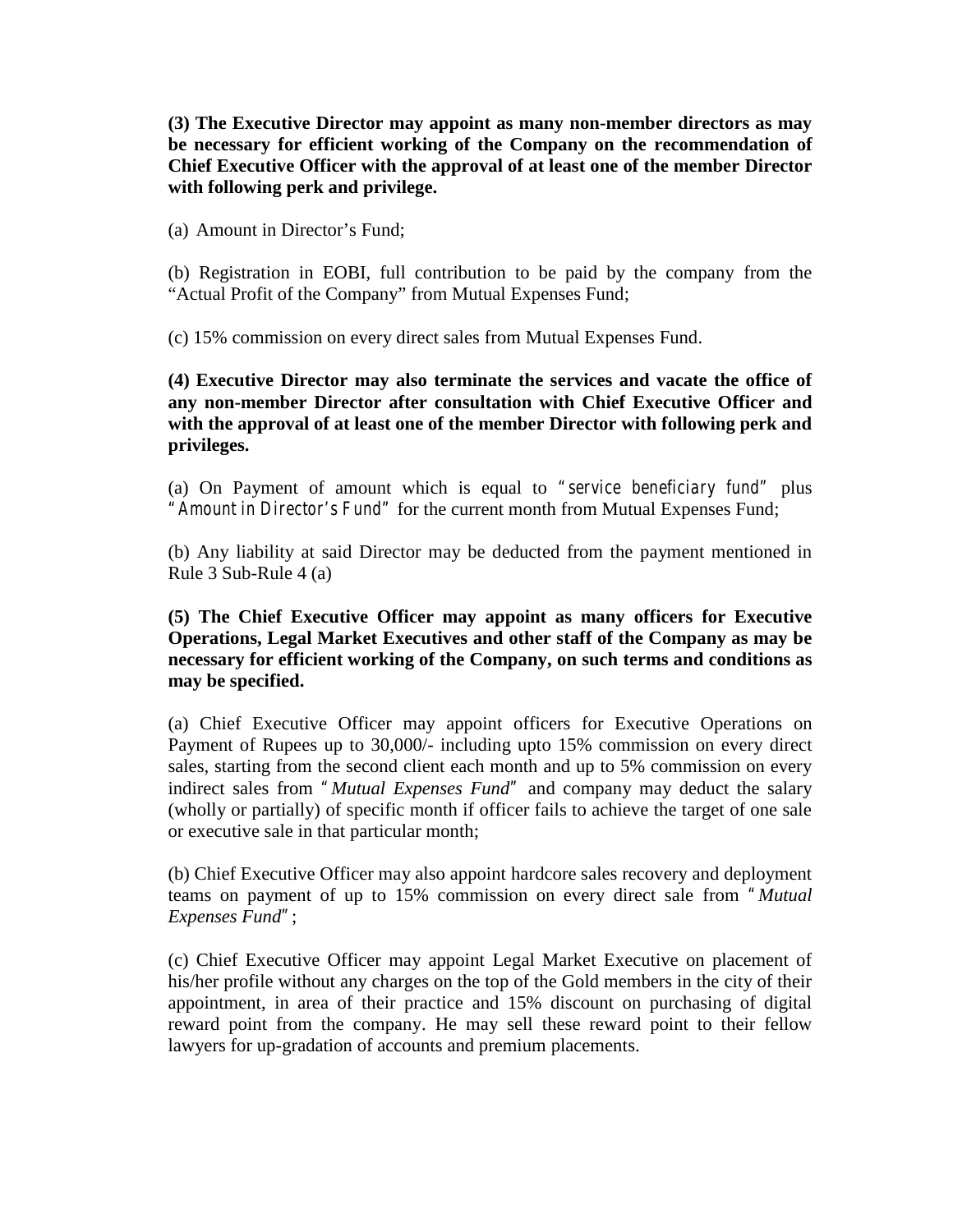**(3) The Executive Director may appoint as many non-member directors as may be necessary for efficient working of the Company on the recommendation of Chief Executive Officer with the approval of at least one of the member Director with following perk and privilege.**

(a) Amount in Director's Fund;

(b) Registration in EOBI, full contribution to be paid by the company from the "Actual Profit of the Company" from Mutual Expenses Fund;

(c) 15% commission on every direct sales from Mutual Expenses Fund.

**(4) Executive Director may also terminate the services and vacate the office of any non-member Director after consultation with Chief Executive Officer and with the approval of at least one of the member Director with following perk and privileges.**

(a) On Payment of amount which is equal to *"service beneficiary fund"* plus *"Amount in Director's Fund"* for the current month from Mutual Expenses Fund;

(b) Any liability at said Director may be deducted from the payment mentioned in Rule 3 Sub-Rule 4 (a)

**(5) The Chief Executive Officer may appoint as many officers for Executive Operations, Legal Market Executives and other staff of the Company as may be necessary for efficient working of the Company, on such terms and conditions as may be specified.**

(a) Chief Executive Officer may appoint officers for Executive Operations on Payment of Rupees up to 30,000/- including upto 15% commission on every direct sales, starting from the second client each month and up to 5% commission on every indirect sales from *"Mutual Expenses Fund"* and company may deduct the salary (wholly or partially) of specific month if officer fails to achieve the target of one sale or executive sale in that particular month;

(b) Chief Executive Officer may also appoint hardcore sales recovery and deployment teams on payment of up to 15% commission on every direct sale from *"Mutual Expenses Fund"*;

(c) Chief Executive Officer may appoint Legal Market Executive on placement of his/her profile without any charges on the top of the Gold members in the city of their appointment, in area of their practice and 15% discount on purchasing of digital reward point from the company. He may sell these reward point to their fellow lawyers for up-gradation of accounts and premium placements.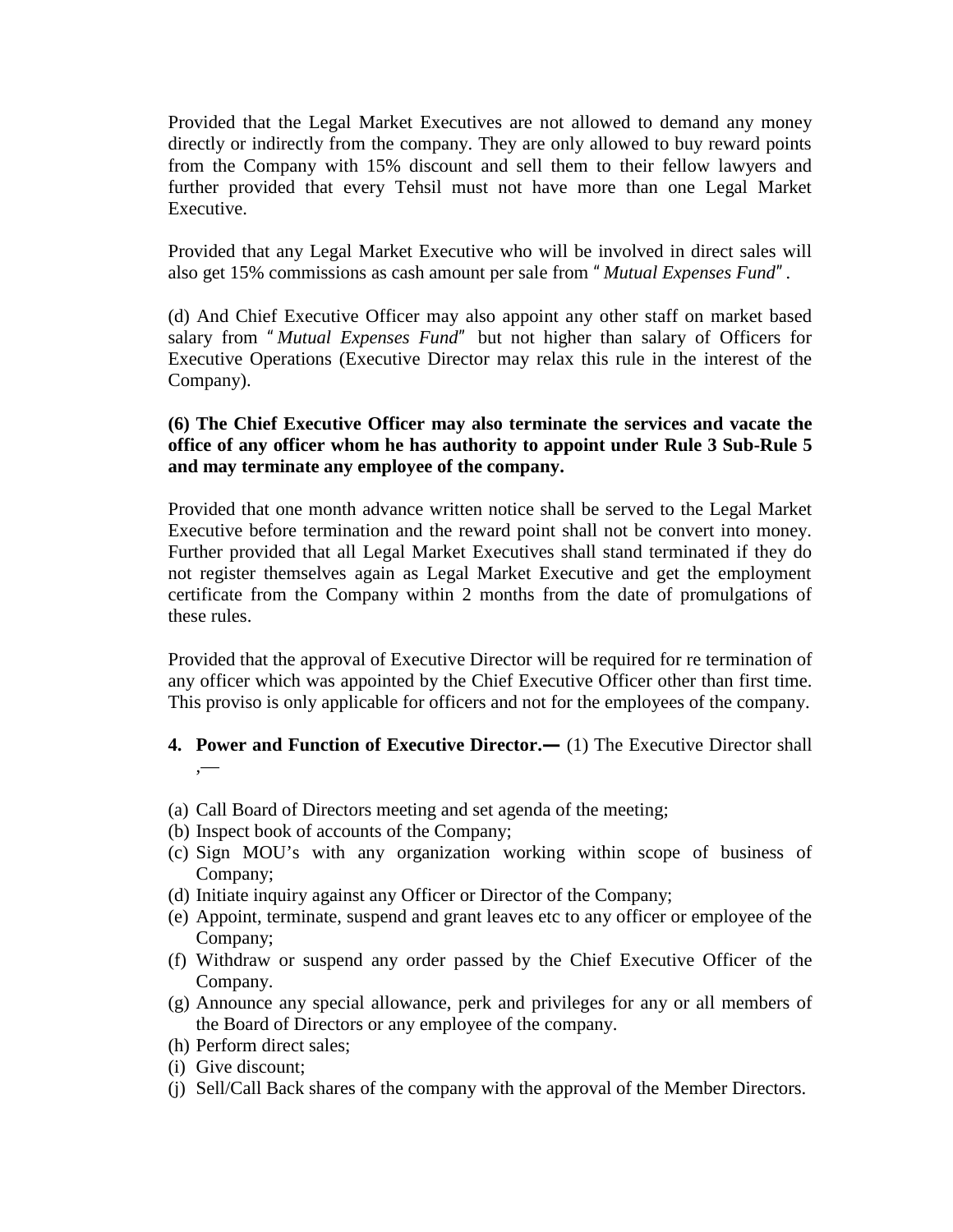Provided that the Legal Market Executives are not allowed to demand any money directly or indirectly from the company. They are only allowed to buy reward points from the Company with 15% discount and sell them to their fellow lawyers and further provided that every Tehsil must not have more than one Legal Market Executive.

Provided that any Legal Market Executive who will be involved in direct sales will also get 15% commissions as cash amount per sale from *"Mutual Expenses Fund".*

(d) And Chief Executive Officer may also appoint any other staff on market based salary from *"Mutual Expenses Fund"* but not higher than salary of Officers for Executive Operations (Executive Director may relax this rule in the interest of the Company).

## **(6) The Chief Executive Officer may also terminate the services and vacate the office of any officer whom he has authority to appoint under Rule 3 Sub-Rule 5 and may terminate any employee of the company.**

Provided that one month advance written notice shall be served to the Legal Market Executive before termination and the reward point shall not be convert into money. Further provided that all Legal Market Executives shall stand terminated if they do not register themselves again as Legal Market Executive and get the employment certificate from the Company within 2 months from the date of promulgations of these rules.

Provided that the approval of Executive Director will be required for re termination of any officer which was appointed by the Chief Executive Officer other than first time. This proviso is only applicable for officers and not for the employees of the company.

## **4. Power and Function of Executive Director.—** (1) The Executive Director shall ,—

- (a) Call Board of Directors meeting and set agenda of the meeting;
- (b) Inspect book of accounts of the Company;
- (c) Sign MOU's with any organization working within scope of business of Company;
- (d) Initiate inquiry against any Officer or Director of the Company;
- (e) Appoint, terminate, suspend and grant leaves etc to any officer or employee of the Company;
- (f) Withdraw or suspend any order passed by the Chief Executive Officer of the Company.
- (g) Announce any special allowance, perk and privileges for any or all members of the Board of Directors or any employee of the company.
- (h) Perform direct sales;
- (i) Give discount;
- (j) Sell/Call Back shares of the company with the approval of the Member Directors.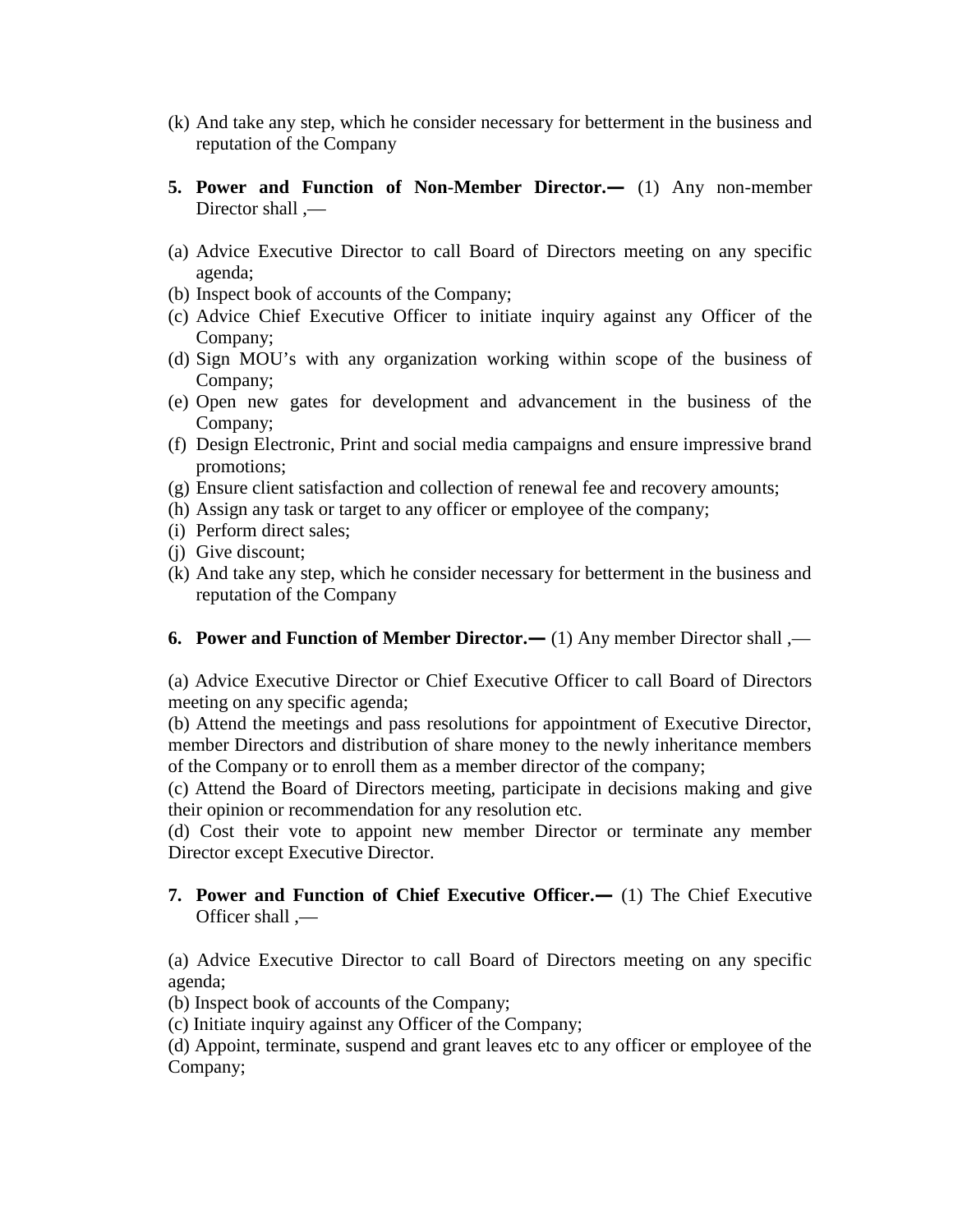- (k) And take any step, which he consider necessary for betterment in the business and reputation of the Company
- **5. Power and Function of Non-Member Director.—** (1) Any non-member Director shall ,—
- (a) Advice Executive Director to call Board of Directors meeting on any specific agenda;
- (b) Inspect book of accounts of the Company;
- (c) Advice Chief Executive Officer to initiate inquiry against any Officer of the Company;
- (d) Sign MOU's with any organization working within scope of the business of Company;
- (e) Open new gates for development and advancement in the business of the Company;
- (f) Design Electronic, Print and social media campaigns and ensure impressive brand promotions;
- (g) Ensure client satisfaction and collection of renewal fee and recovery amounts;
- (h) Assign any task or target to any officer or employee of the company;
- (i) Perform direct sales;
- (j) Give discount;
- (k) And take any step, which he consider necessary for betterment in the business and reputation of the Company
- **6. Power and Function of Member Director.—** (1) Any member Director shall ,—

(a) Advice Executive Director or Chief Executive Officer to call Board of Directors meeting on any specific agenda;

(b) Attend the meetings and pass resolutions for appointment of Executive Director, member Directors and distribution of share money to the newly inheritance members of the Company or to enroll them as a member director of the company;

(c) Attend the Board of Directors meeting, participate in decisions making and give their opinion or recommendation for any resolution etc.

(d) Cost their vote to appoint new member Director or terminate any member Director except Executive Director.

**7. Power and Function of Chief Executive Officer.—** (1) The Chief Executive Officer shall ,—

(a) Advice Executive Director to call Board of Directors meeting on any specific agenda;

- (b) Inspect book of accounts of the Company;
- (c) Initiate inquiry against any Officer of the Company;

(d) Appoint, terminate, suspend and grant leaves etc to any officer or employee of the Company;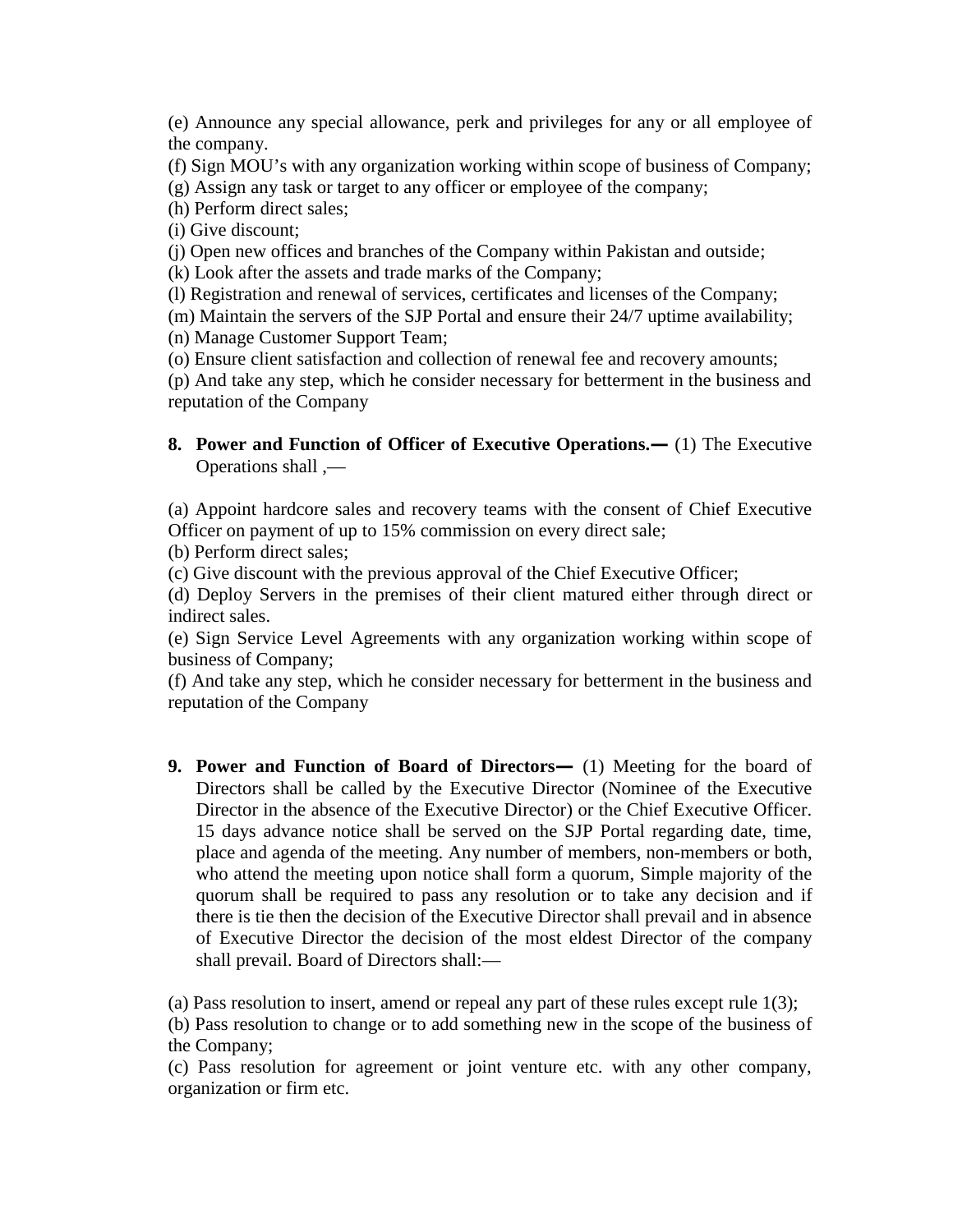(e) Announce any special allowance, perk and privileges for any or all employee of the company.

- (f) Sign MOU's with any organization working within scope of business of Company;
- (g) Assign any task or target to any officer or employee of the company;
- (h) Perform direct sales;

(i) Give discount;

(j) Open new offices and branches of the Company within Pakistan and outside;

(k) Look after the assets and trade marks of the Company;

(l) Registration and renewal of services, certificates and licenses of the Company;

(m) Maintain the servers of the SJP Portal and ensure their 24/7 uptime availability;

(n) Manage Customer Support Team;

(o) Ensure client satisfaction and collection of renewal fee and recovery amounts;

(p) And take any step, which he consider necessary for betterment in the business and reputation of the Company

**8. Power and Function of Officer of Executive Operations.—** (1) The Executive Operations shall ,—

(a) Appoint hardcore sales and recovery teams with the consent of Chief Executive Officer on payment of up to 15% commission on every direct sale;

(b) Perform direct sales;

(c) Give discount with the previous approval of the Chief Executive Officer;

(d) Deploy Servers in the premises of their client matured either through direct or indirect sales.

(e) Sign Service Level Agreements with any organization working within scope of business of Company;

(f) And take any step, which he consider necessary for betterment in the business and reputation of the Company

**9. Power and Function of Board of Directors—** (1) Meeting for the board of Directors shall be called by the Executive Director (Nominee of the Executive Director in the absence of the Executive Director) or the Chief Executive Officer. 15 days advance notice shall be served on the SJP Portal regarding date, time, place and agenda of the meeting. Any number of members, non-members or both, who attend the meeting upon notice shall form a quorum, Simple majority of the quorum shall be required to pass any resolution or to take any decision and if there is tie then the decision of the Executive Director shall prevail and in absence of Executive Director the decision of the most eldest Director of the company shall prevail. Board of Directors shall:—

(a) Pass resolution to insert, amend or repeal any part of these rules except rule 1(3);

(b) Pass resolution to change or to add something new in the scope of the business of the Company;

(c) Pass resolution for agreement or joint venture etc. with any other company, organization or firm etc.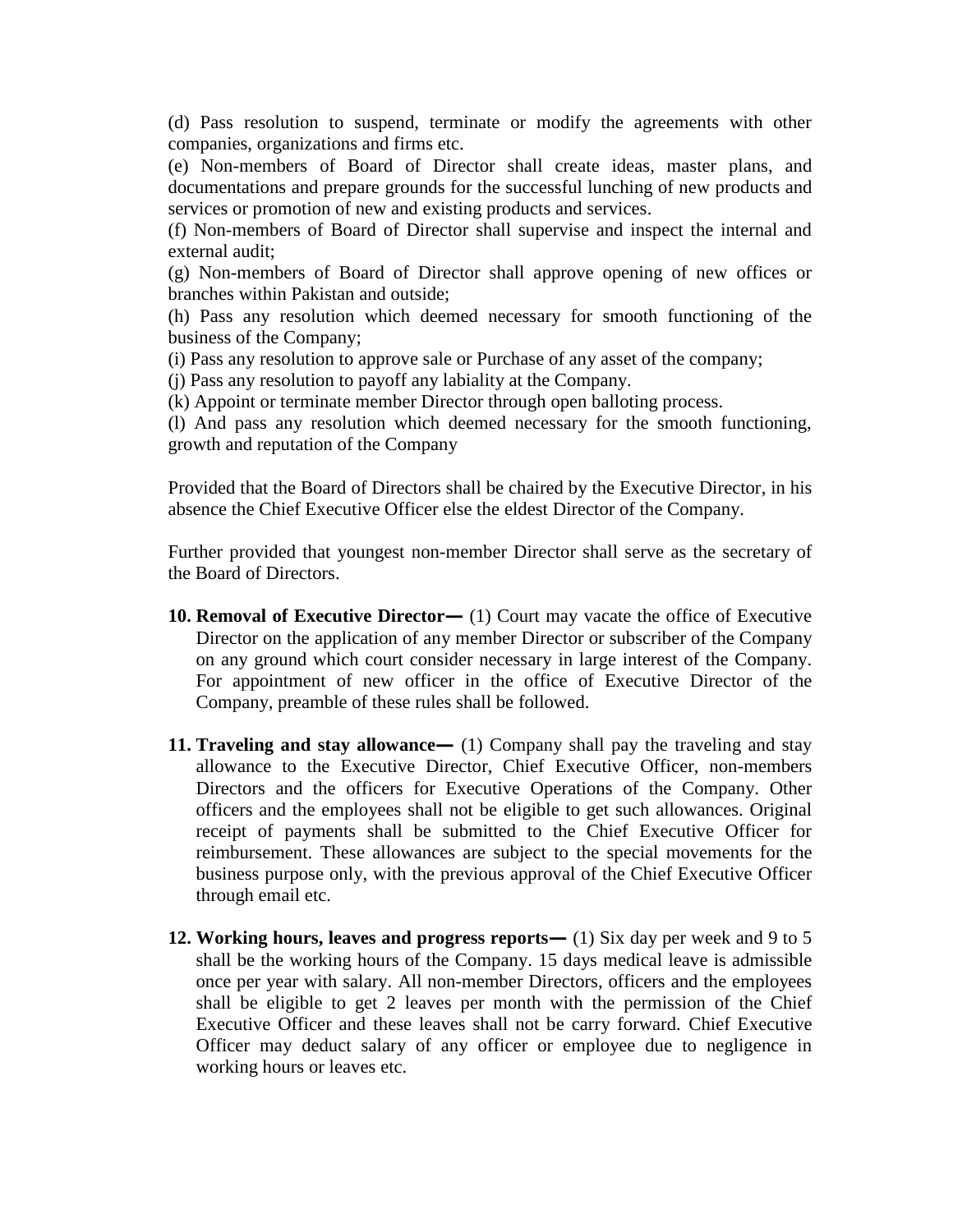(d) Pass resolution to suspend, terminate or modify the agreements with other companies, organizations and firms etc.

(e) Non-members of Board of Director shall create ideas, master plans, and documentations and prepare grounds for the successful lunching of new products and services or promotion of new and existing products and services.

(f) Non-members of Board of Director shall supervise and inspect the internal and external audit;

(g) Non-members of Board of Director shall approve opening of new offices or branches within Pakistan and outside;

(h) Pass any resolution which deemed necessary for smooth functioning of the business of the Company;

(i) Pass any resolution to approve sale or Purchase of any asset of the company;

(j) Pass any resolution to payoff any labiality at the Company.

(k) Appoint or terminate member Director through open balloting process.

(l) And pass any resolution which deemed necessary for the smooth functioning, growth and reputation of the Company

Provided that the Board of Directors shall be chaired by the Executive Director, in his absence the Chief Executive Officer else the eldest Director of the Company.

Further provided that youngest non-member Director shall serve as the secretary of the Board of Directors.

- **10. Removal of Executive Director—** (1) Court may vacate the office of Executive Director on the application of any member Director or subscriber of the Company on any ground which court consider necessary in large interest of the Company. For appointment of new officer in the office of Executive Director of the Company, preamble of these rules shall be followed.
- **11. Traveling and stay allowance— (1) Company shall pay the traveling and stay** allowance to the Executive Director, Chief Executive Officer, non-members Directors and the officers for Executive Operations of the Company. Other officers and the employees shall not be eligible to get such allowances. Original receipt of payments shall be submitted to the Chief Executive Officer for reimbursement. These allowances are subject to the special movements for the business purpose only, with the previous approval of the Chief Executive Officer through email etc.
- **12. Working hours, leaves and progress reports—** (1) Six day per week and 9 to 5 shall be the working hours of the Company. 15 days medical leave is admissible once per year with salary. All non-member Directors, officers and the employees shall be eligible to get 2 leaves per month with the permission of the Chief Executive Officer and these leaves shall not be carry forward. Chief Executive Officer may deduct salary of any officer or employee due to negligence in working hours or leaves etc.